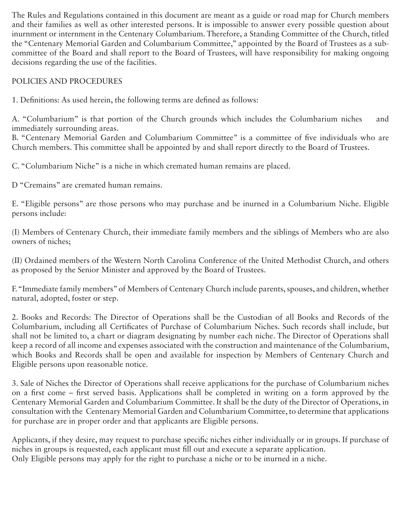The Rules and Regulations contained in this document are meant as a guide or road map for Church members and their families as well as other interested persons. It is impossible to answer every possible question about inurnment or internment in the Centenary Columbarium. Therefore, a Standing Committee of the Church, titled the "Centenary Memorial Garden and Columbarium Committee," appointed by the Board of Trustees as a subcommittee of the Board and shall report to the Board of Trustees, will have responsibility for making ongoing decisions regarding the use of the facilities.

POLICIES AND PROCEDURES

1. Definitions: As used herein, the following terms are defined as follows:

A. "Columbarium" is that portion of the Church grounds which includes the Columbarium niches and immediately surrounding areas.

B. "Centenary Memorial Garden and Columbarium Committee" is a committee of five individuals who are Church members. This committee shall be appointed by and shall report directly to the Board of Trustees.

C. "Columbarium Niche" is a niche in which cremated human remains are placed.

D "Cremains" are cremated human remains.

E. "Eligible persons" are those persons who may purchase and be inurned in a Columbarium Niche. Eligible persons include:

(I) Members of Centenary Church, their immediate family members and the siblings of Members who are also owners of niches;

(II) Ordained members of the Western North Carolina Conference of the United Methodist Church, and others as proposed by the Senior Minister and approved by the Board of Trustees.

F. "Immediate family members" of Members of Centenary Church include parents, spouses, and children, whether natural, adopted, foster or step.

2. Books and Records: The Director of Operations shall be the Custodian of all Books and Records of the Columbarium, including all Certificates of Purchase of Columbarium Niches. Such records shall include, but shall not be limited to, a chart or diagram designating by number each niche. The Director of Operations shall keep a record of all income and expenses associated with the construction and maintenance of the Columbarium, which Books and Records shall be open and available for inspection by Members of Centenary Church and Eligible persons upon reasonable notice.

3. Sale of Niches the Director of Operations shall receive applications for the purchase of Columbarium niches on a first come – first served basis. Applications shall be completed in writing on a form approved by the Centenary Memorial Garden and Columbarium Committee. It shall be the duty of the Director of Operations, in consultation with the Centenary Memorial Garden and Columbarium Committee, to determine that applications for purchase are in proper order and that applicants are Eligible persons.

Applicants, if they desire, may request to purchase specific niches either individually or in groups. If purchase of niches in groups is requested, each applicant must fill out and execute a separate application. Only Eligible persons may apply for the right to purchase a niche or to be inurned in a niche.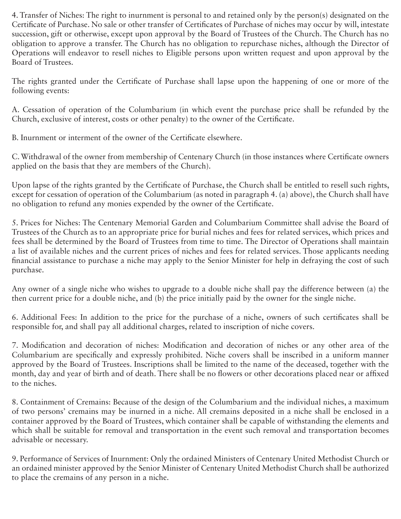4. Transfer of Niches: The right to inurnment is personal to and retained only by the person(s) designated on the Certificate of Purchase. No sale or other transfer of Certificates of Purchase of niches may occur by will, intestate succession, gift or otherwise, except upon approval by the Board of Trustees of the Church. The Church has no obligation to approve a transfer. The Church has no obligation to repurchase niches, although the Director of Operations will endeavor to resell niches to Eligible persons upon written request and upon approval by the Board of Trustees.

The rights granted under the Certificate of Purchase shall lapse upon the happening of one or more of the following events:

A. Cessation of operation of the Columbarium (in which event the purchase price shall be refunded by the Church, exclusive of interest, costs or other penalty) to the owner of the Certificate.

B. Inurnment or interment of the owner of the Certificate elsewhere.

C. Withdrawal of the owner from membership of Centenary Church (in those instances where Certificate owners applied on the basis that they are members of the Church).

Upon lapse of the rights granted by the Certificate of Purchase, the Church shall be entitled to resell such rights, except for cessation of operation of the Columbarium (as noted in paragraph 4. (a) above), the Church shall have no obligation to refund any monies expended by the owner of the Certificate.

5. Prices for Niches: The Centenary Memorial Garden and Columbarium Committee shall advise the Board of Trustees of the Church as to an appropriate price for burial niches and fees for related services, which prices and fees shall be determined by the Board of Trustees from time to time. The Director of Operations shall maintain a list of available niches and the current prices of niches and fees for related services. Those applicants needing financial assistance to purchase a niche may apply to the Senior Minister for help in defraying the cost of such purchase.

Any owner of a single niche who wishes to upgrade to a double niche shall pay the difference between (a) the then current price for a double niche, and (b) the price initially paid by the owner for the single niche.

6. Additional Fees: In addition to the price for the purchase of a niche, owners of such certificates shall be responsible for, and shall pay all additional charges, related to inscription of niche covers.

7. Modification and decoration of niches: Modification and decoration of niches or any other area of the Columbarium are specifically and expressly prohibited. Niche covers shall be inscribed in a uniform manner approved by the Board of Trustees. Inscriptions shall be limited to the name of the deceased, together with the month, day and year of birth and of death. There shall be no flowers or other decorations placed near or affixed to the niches.

8. Containment of Cremains: Because of the design of the Columbarium and the individual niches, a maximum of two persons' cremains may be inurned in a niche. All cremains deposited in a niche shall be enclosed in a container approved by the Board of Trustees, which container shall be capable of withstanding the elements and which shall be suitable for removal and transportation in the event such removal and transportation becomes advisable or necessary.

9. Performance of Services of Inurnment: Only the ordained Ministers of Centenary United Methodist Church or an ordained minister approved by the Senior Minister of Centenary United Methodist Church shall be authorized to place the cremains of any person in a niche.